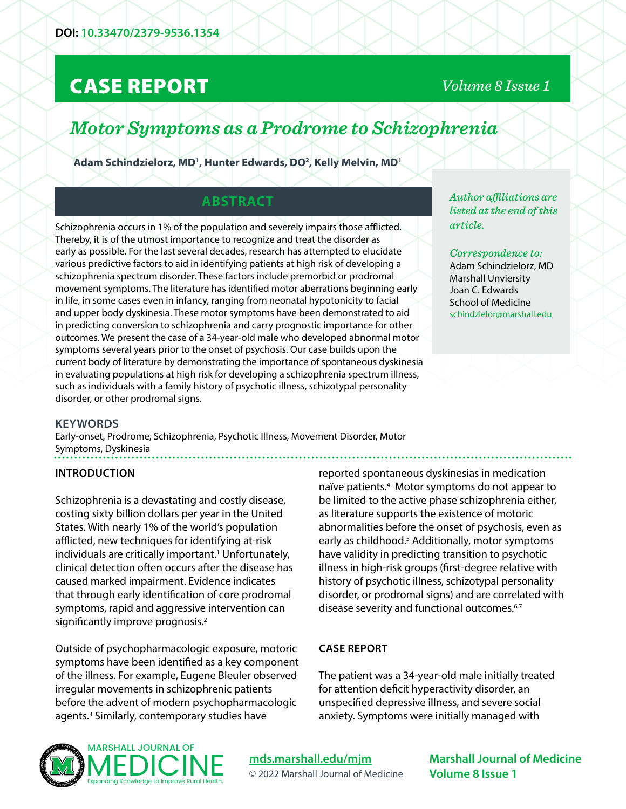# CASE REPORT

# *Volume 8 Issue 1*

# *Motor Symptoms as a Prodrome to Schizophrenia*

Adam Schindzielorz, MD<sup>1</sup>, Hunter Edwards, DO<sup>2</sup>, Kelly Melvin, MD<sup>1</sup>

# **ABSTRACT**

Schizophrenia occurs in 1% of the population and severely impairs those afflicted. Thereby, it is of the utmost importance to recognize and treat the disorder as early as possible. For the last several decades, research has attempted to elucidate various predictive factors to aid in identifying patients at high risk of developing a schizophrenia spectrum disorder. These factors include premorbid or prodromal movement symptoms. The literature has identified motor aberrations beginning early in life, in some cases even in infancy, ranging from neonatal hypotonicity to facial and upper body dyskinesia. These motor symptoms have been demonstrated to aid in predicting conversion to schizophrenia and carry prognostic importance for other outcomes. We present the case of a 34-year-old male who developed abnormal motor symptoms several years prior to the onset of psychosis. Our case builds upon the current body of literature by demonstrating the importance of spontaneous dyskinesia in evaluating populations at high risk for developing a schizophrenia spectrum illness, such as individuals with a family history of psychotic illness, schizotypal personality disorder, or other prodromal signs.

#### **KEYWORDS**

Early-onset, Prodrome, Schizophrenia, Psychotic Illness, Movement Disorder, Motor Symptoms, Dyskinesia

#### **INTRODUCTION**

Schizophrenia is a devastating and costly disease, costing sixty billion dollars per year in the United States. With nearly 1% of the world's population afflicted, new techniques for identifying at-risk individuals are critically important.<sup>1</sup> Unfortunately, clinical detection often occurs after the disease has caused marked impairment. Evidence indicates that through early identification of core prodromal symptoms, rapid and aggressive intervention can significantly improve prognosis. $2$ 

Outside of psychopharmacologic exposure, motoric symptoms have been identified as a key component of the illness. For example, Eugene Bleuler observed irregular movements in schizophrenic patients before the advent of modern psychopharmacologic agents.<sup>3</sup> Similarly, contemporary studies have

reported spontaneous dyskinesias in medication naïve patients.<sup>4</sup> Motor symptoms do not appear to be limited to the active phase schizophrenia either, as literature supports the existence of motoric abnormalities before the onset of psychosis, even as early as childhood.<sup>5</sup> Additionally, motor symptoms have validity in predicting transition to psychotic illness in high-risk groups (first-degree relative with history of psychotic illness, schizotypal personality disorder, or prodromal signs) and are correlated with disease severity and functional outcomes.<sup>6,7</sup>

#### **CASE REPORT**

The patient was a 34-year-old male initially treated for attention deficit hyperactivity disorder, an unspecified depressive illness, and severe social anxiety. Symptoms were initially managed with



### **[mds.marshall.edu/mjm](https://mds.marshall.edu/mjm/)** © 2022 Marshall Journal of Medicine

**Marshall Journal of Medicine Volume 8 Issue 1**

*Author affiliations are listed at the end of this article.* 

*Correspondence to:*  Adam Schindzielorz, MD Marshall Unviersity Joan C. Edwards School of Medicine [schindzielor@marshall.edu](mailto:schindzielor%40marshall.edu?subject=)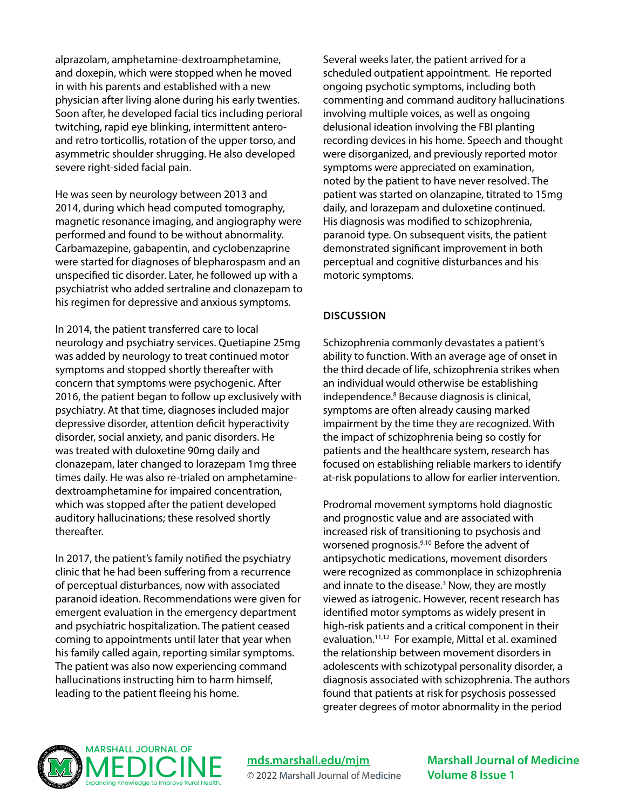alprazolam, amphetamine-dextroamphetamine, and doxepin, which were stopped when he moved in with his parents and established with a new physician after living alone during his early twenties. Soon after, he developed facial tics including perioral twitching, rapid eye blinking, intermittent anteroand retro torticollis, rotation of the upper torso, and asymmetric shoulder shrugging. He also developed severe right-sided facial pain.

He was seen by neurology between 2013 and 2014, during which head computed tomography, magnetic resonance imaging, and angiography were performed and found to be without abnormality. Carbamazepine, gabapentin, and cyclobenzaprine were started for diagnoses of blepharospasm and an unspecified tic disorder. Later, he followed up with a psychiatrist who added sertraline and clonazepam to his regimen for depressive and anxious symptoms.

In 2014, the patient transferred care to local neurology and psychiatry services. Quetiapine 25mg was added by neurology to treat continued motor symptoms and stopped shortly thereafter with concern that symptoms were psychogenic. After 2016, the patient began to follow up exclusively with psychiatry. At that time, diagnoses included major depressive disorder, attention deficit hyperactivity disorder, social anxiety, and panic disorders. He was treated with duloxetine 90mg daily and clonazepam, later changed to lorazepam 1mg three times daily. He was also re-trialed on amphetaminedextroamphetamine for impaired concentration, which was stopped after the patient developed auditory hallucinations; these resolved shortly thereafter.

In 2017, the patient's family notified the psychiatry clinic that he had been suffering from a recurrence of perceptual disturbances, now with associated paranoid ideation. Recommendations were given for emergent evaluation in the emergency department and psychiatric hospitalization. The patient ceased coming to appointments until later that year when his family called again, reporting similar symptoms. The patient was also now experiencing command hallucinations instructing him to harm himself, leading to the patient fleeing his home.

Several weeks later, the patient arrived for a scheduled outpatient appointment. He reported ongoing psychotic symptoms, including both commenting and command auditory hallucinations involving multiple voices, as well as ongoing delusional ideation involving the FBI planting recording devices in his home. Speech and thought were disorganized, and previously reported motor symptoms were appreciated on examination, noted by the patient to have never resolved. The patient was started on olanzapine, titrated to 15mg daily, and lorazepam and duloxetine continued. His diagnosis was modified to schizophrenia, paranoid type. On subsequent visits, the patient demonstrated significant improvement in both perceptual and cognitive disturbances and his motoric symptoms.

#### **DISCUSSION**

Schizophrenia commonly devastates a patient's ability to function. With an average age of onset in the third decade of life, schizophrenia strikes when an individual would otherwise be establishing independence.8 Because diagnosis is clinical, symptoms are often already causing marked impairment by the time they are recognized. With the impact of schizophrenia being so costly for patients and the healthcare system, research has focused on establishing reliable markers to identify at-risk populations to allow for earlier intervention.

Prodromal movement symptoms hold diagnostic and prognostic value and are associated with increased risk of transitioning to psychosis and worsened prognosis.<sup>9,10</sup> Before the advent of antipsychotic medications, movement disorders were recognized as commonplace in schizophrenia and innate to the disease.<sup>3</sup> Now, they are mostly viewed as iatrogenic. However, recent research has identified motor symptoms as widely present in high-risk patients and a critical component in their evaluation.11,12 For example, Mittal et al. examined the relationship between movement disorders in adolescents with schizotypal personality disorder, a diagnosis associated with schizophrenia. The authors found that patients at risk for psychosis possessed greater degrees of motor abnormality in the period



**[mds.marshall.edu/mjm](https://mds.marshall.edu/mjm/)** © 2022 Marshall Journal of Medicine **Marshall Journal of Medicine Volume 8 Issue 1**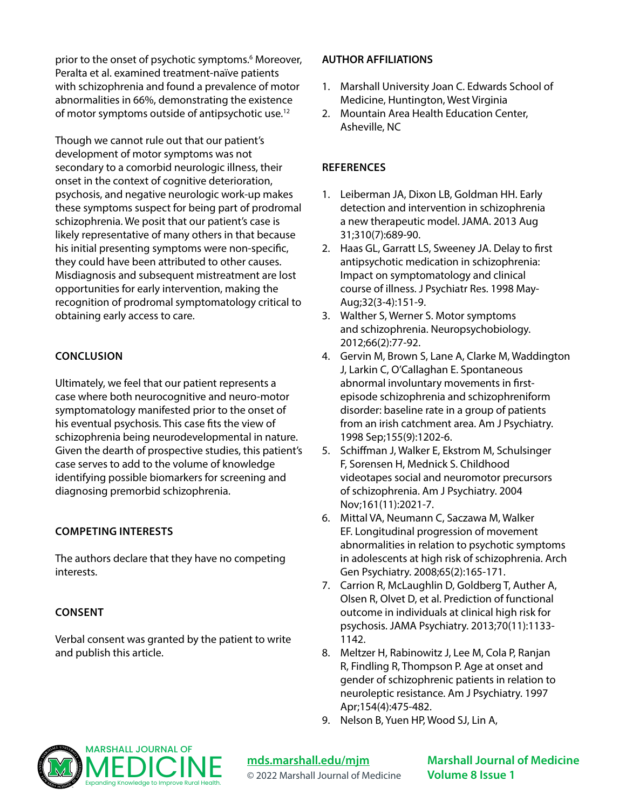prior to the onset of psychotic symptoms.<sup>6</sup> Moreover, Peralta et al. examined treatment-naïve patients with schizophrenia and found a prevalence of motor abnormalities in 66%, demonstrating the existence of motor symptoms outside of antipsychotic use.<sup>12</sup>

Though we cannot rule out that our patient's development of motor symptoms was not secondary to a comorbid neurologic illness, their onset in the context of cognitive deterioration, psychosis, and negative neurologic work-up makes these symptoms suspect for being part of prodromal schizophrenia. We posit that our patient's case is likely representative of many others in that because his initial presenting symptoms were non-specific, they could have been attributed to other causes. Misdiagnosis and subsequent mistreatment are lost opportunities for early intervention, making the recognition of prodromal symptomatology critical to obtaining early access to care.

### **CONCLUSION**

Ultimately, we feel that our patient represents a case where both neurocognitive and neuro-motor symptomatology manifested prior to the onset of his eventual psychosis. This case fits the view of schizophrenia being neurodevelopmental in nature. Given the dearth of prospective studies, this patient's case serves to add to the volume of knowledge identifying possible biomarkers for screening and diagnosing premorbid schizophrenia.

### **COMPETING INTERESTS**

The authors declare that they have no competing interests.

## **CONSENT**

Verbal consent was granted by the patient to write and publish this article.

### **AUTHOR AFFILIATIONS**

- 1. Marshall University Joan C. Edwards School of Medicine, Huntington, West Virginia
- 2. Mountain Area Health Education Center, Asheville, NC

## **REFERENCES**

- 1. Leiberman JA, Dixon LB, Goldman HH. Early detection and intervention in schizophrenia a new therapeutic model. JAMA. 2013 Aug 31;310(7):689-90.
- 2. Haas GL, Garratt LS, Sweeney JA. Delay to first antipsychotic medication in schizophrenia: Impact on symptomatology and clinical course of illness. J Psychiatr Res. 1998 May-Aug;32(3-4):151-9.
- 3. Walther S, Werner S. Motor symptoms and schizophrenia. Neuropsychobiology. 2012;66(2):77-92.
- 4. Gervin M, Brown S, Lane A, Clarke M, Waddington J, Larkin C, O'Callaghan E. Spontaneous abnormal involuntary movements in firstepisode schizophrenia and schizophreniform disorder: baseline rate in a group of patients from an irish catchment area. Am J Psychiatry. 1998 Sep;155(9):1202-6.
- 5. Schiffman J, Walker E, Ekstrom M, Schulsinger F, Sorensen H, Mednick S. Childhood videotapes social and neuromotor precursors of schizophrenia. Am J Psychiatry. 2004 Nov;161(11):2021-7.
- 6. Mittal VA, Neumann C, Saczawa M, Walker EF. Longitudinal progression of movement abnormalities in relation to psychotic symptoms in adolescents at high risk of schizophrenia. Arch Gen Psychiatry. 2008;65(2):165-171.
- 7. Carrion R, McLaughlin D, Goldberg T, Auther A, Olsen R, Olvet D, et al. Prediction of functional outcome in individuals at clinical high risk for psychosis. JAMA Psychiatry. 2013;70(11):1133- 1142.
- 8. Meltzer H, Rabinowitz J, Lee M, Cola P, Ranjan R, Findling R, Thompson P. Age at onset and gender of schizophrenic patients in relation to neuroleptic resistance. Am J Psychiatry. 1997 Apr;154(4):475-482.
- 9. Nelson B, Yuen HP, Wood SJ, Lin A,



**[mds.marshall.edu/mjm](https://mds.marshall.edu/mjm/)** © 2022 Marshall Journal of Medicine **Marshall Journal of Medicine Volume 8 Issue 1**